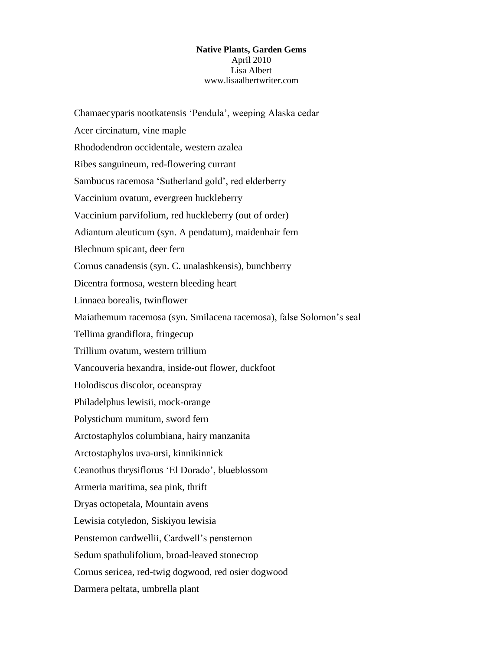## **Native Plants, Garden Gems** April 2010 Lisa Albert www.lisaalbertwriter.com

Chamaecyparis nootkatensis "Pendula", weeping Alaska cedar Acer circinatum, vine maple Rhododendron occidentale, western azalea Ribes sanguineum, red-flowering currant Sambucus racemosa "Sutherland gold", red elderberry Vaccinium ovatum, evergreen huckleberry Vaccinium parvifolium, red huckleberry (out of order) Adiantum aleuticum (syn. A pendatum), maidenhair fern Blechnum spicant, deer fern Cornus canadensis (syn. C. unalashkensis), bunchberry Dicentra formosa, western bleeding heart Linnaea borealis, twinflower Maiathemum racemosa (syn. Smilacena racemosa), false Solomon"s seal Tellima grandiflora, fringecup Trillium ovatum, western trillium Vancouveria hexandra, inside-out flower, duckfoot Holodiscus discolor, oceanspray Philadelphus lewisii, mock-orange Polystichum munitum, sword fern Arctostaphylos columbiana, hairy manzanita Arctostaphylos uva-ursi, kinnikinnick Ceanothus thrysiflorus "El Dorado", blueblossom Armeria maritima, sea pink, thrift Dryas octopetala, Mountain avens Lewisia cotyledon, Siskiyou lewisia Penstemon cardwellii, Cardwell"s penstemon Sedum spathulifolium, broad-leaved stonecrop Cornus sericea, red-twig dogwood, red osier dogwood Darmera peltata, umbrella plant